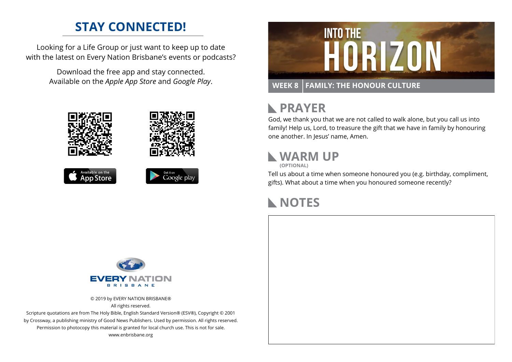### **STAY CONNECTED!**

Looking for a Life Group or just want to keep up to date with the latest on Every Nation Brisbane's events or podcasts?

> Download the free app and stay connected. Available on the *Apple App Store* and *Google Play*.





## **RAYER**

God, we thank you that we are not called to walk alone, but you call us into family! Help us, Lord, to treasure the gift that we have in family by honouring one another. In Jesus' name, Amen.

## **WARM UP**

**(OPTIONAL)**

Tell us about a time when someone honoured you (e.g. birthday, compliment, gifts). What about a time when you honoured someone recently?

#### **NOTES**



© 2019 by EVERY NATION BRISBANE® All rights reserved.

Scripture quotations are from The Holy Bible, English Standard Version® (ESV®), Copyright © 2001 by Crossway, a publishing ministry of Good News Publishers. Used by permission. All rights reserved. Permission to photocopy this material is granted for local church use. This is not for sale. www.enbrisbane.org